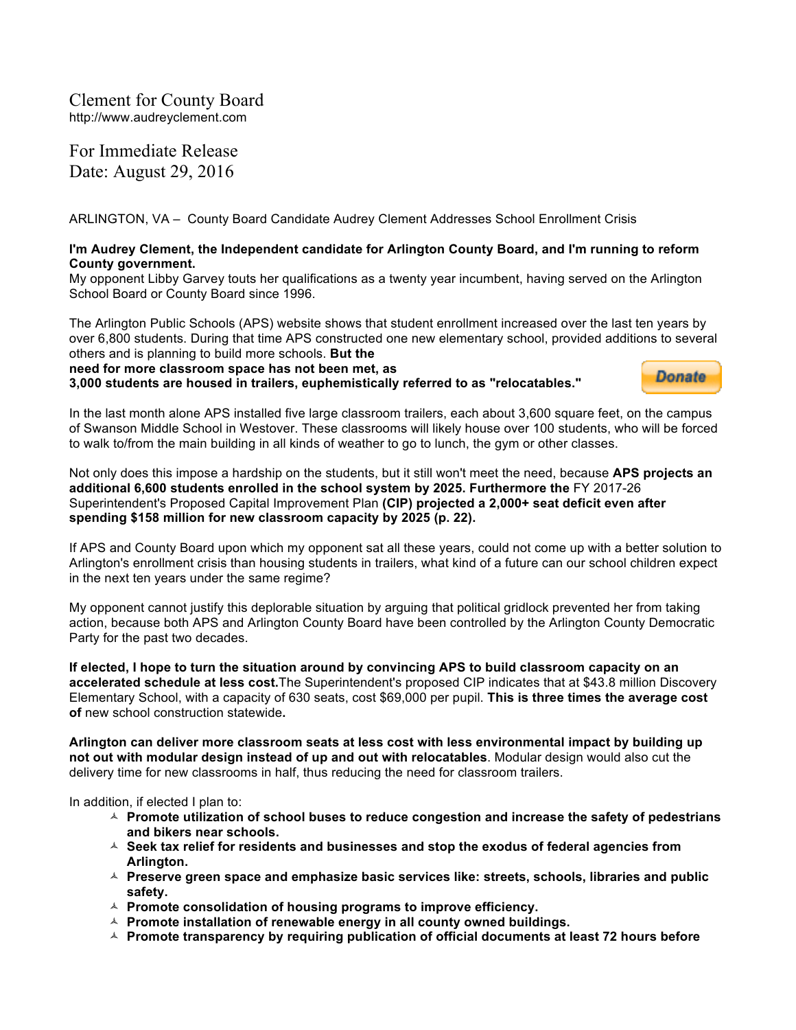Clement for County Board http://www.audreyclement.com

For Immediate Release Date: August 29, 2016

ARLINGTON, VA – County Board Candidate Audrey Clement Addresses School Enrollment Crisis

## **I'm Audrey Clement, the Independent candidate for Arlington County Board, and I'm running to reform County government.**

My opponent Libby Garvey touts her qualifications as a twenty year incumbent, having served on the Arlington School Board or County Board since 1996.

The Arlington Public Schools (APS) website shows that student enrollment increased over the last ten years by over 6,800 students. During that time APS constructed one new elementary school, provided additions to several others and is planning to build more schools. **But the**

**need for more classroom space has not been met, as 3,000 students are housed in trailers, euphemistically referred to as "relocatables."**



In the last month alone APS installed five large classroom trailers, each about 3,600 square feet, on the campus of Swanson Middle School in Westover. These classrooms will likely house over 100 students, who will be forced to walk to/from the main building in all kinds of weather to go to lunch, the gym or other classes.

Not only does this impose a hardship on the students, but it still won't meet the need, because **APS projects an additional 6,600 students enrolled in the school system by 2025. Furthermore the** FY 2017-26 Superintendent's Proposed Capital Improvement Plan **(CIP) projected a 2,000+ seat deficit even after spending \$158 million for new classroom capacity by 2025 (p. 22).**

If APS and County Board upon which my opponent sat all these years, could not come up with a better solution to Arlington's enrollment crisis than housing students in trailers, what kind of a future can our school children expect in the next ten years under the same regime?

My opponent cannot justify this deplorable situation by arguing that political gridlock prevented her from taking action, because both APS and Arlington County Board have been controlled by the Arlington County Democratic Party for the past two decades.

**If elected, I hope to turn the situation around by convincing APS to build classroom capacity on an accelerated schedule at less cost.**The Superintendent's proposed CIP indicates that at \$43.8 million Discovery Elementary School, with a capacity of 630 seats, cost \$69,000 per pupil. **This is three times the average cost of** new school construction statewide**.**

**Arlington can deliver more classroom seats at less cost with less environmental impact by building up not out with modular design instead of up and out with relocatables**. Modular design would also cut the delivery time for new classrooms in half, thus reducing the need for classroom trailers.

In addition, if elected I plan to:

- $\triangle$  Promote utilization of school buses to reduce congestion and increase the safety of pedestrians **and bikers near schools.**
- $\triangle$  Seek tax relief for residents and businesses and stop the exodus of federal agencies from **Arlington.**
- **△ Preserve green space and emphasize basic services like: streets, schools, libraries and public safety.**
- A Promote consolidation of housing programs to improve efficiency.
- A Promote installation of renewable energy in all county owned buildings.
- $\triangle$  Promote transparency by requiring publication of official documents at least 72 hours before